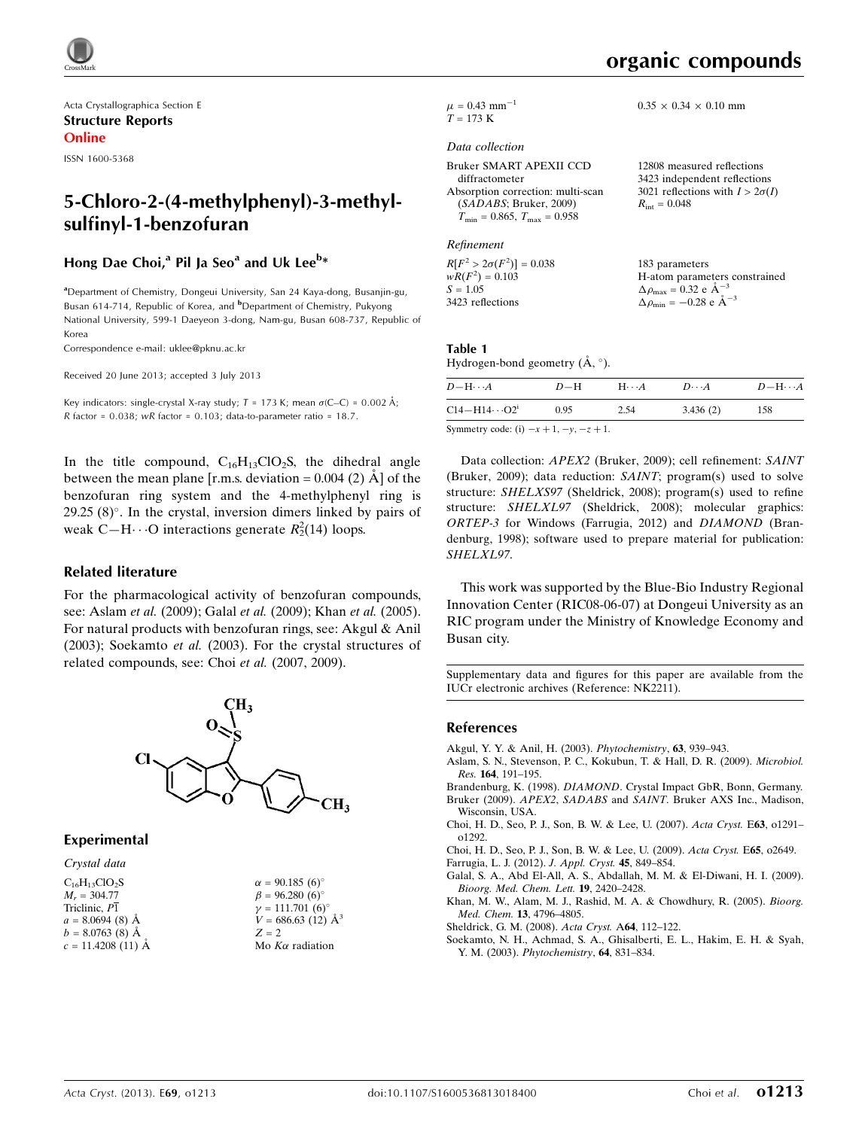

Acta Crystallographica Section E Structure Reports Online

ISSN 1600-5368

# 5-Chloro-2-(4-methylphenyl)-3-methylsulfinyl-1-benzofuran

# Hong Dae Choi,<sup>a</sup> Pil Ja Seo<sup>a</sup> and Uk Lee<sup>b</sup>\*

<sup>a</sup> Department of Chemistry, Dongeui University, San 24 Kaya-dong, Busanjin-gu, Busan 614-714, Republic of Korea, and <sup>b</sup>Department of Chemistry, Pukyong National University, 599-1 Daeyeon 3-dong, Nam-gu, Busan 608-737, Republic of Korea

Correspondence e-mail: [uklee@pknu.ac.kr](https://scripts.iucr.org/cgi-bin/cr.cgi?rm=pdfbb&cnor=nk2211&bbid=BB11)

Received 20 June 2013; accepted 3 July 2013

Key indicators: single-crystal X-ray study;  $T = 173$  K; mean  $\sigma$ (C–C) = 0.002 Å; R factor =  $0.038$ ; wR factor =  $0.103$ ; data-to-parameter ratio = 18.7.

In the title compound,  $C_{16}H_{13}ClO_2S$ , the dihedral angle between the mean plane [r.m.s. deviation =  $0.004$  (2)  $\AA$ ] of the benzofuran ring system and the 4-methylphenyl ring is  $29.25$  (8) $^{\circ}$ . In the crystal, inversion dimers linked by pairs of weak C-H $\cdot \cdot$  O interactions generate  $R_2^2(14)$  loops.

### Related literature

For the pharmacological activity of benzofuran compounds, see: Aslam *et al.* (2009); Galal *et al.* (2009); Khan *et al.* (2005). For natural products with benzofuran rings, see: Akgul & Anil (2003); Soekamto et al. (2003). For the crystal structures of related compounds, see: Choi et al. (2007, 2009).



## Experimental

### Crystal data

 $\rm C_{16}H_{13}ClO_2S$  $M_r = 304.77$ Triclinic,  $P\overline{1}$  $a = 8.0694(8)$  Å  $b = 8.0763(8)$  Å  $c = 11.4208(11)$  Å

 $\alpha = 90.185 \ (6)^{\circ}$  $\beta = 96.280\ (6)$ °  $\gamma = 111.701 (6)$ °  $V = 686.63(12)$   $\AA^3$  $Z = 2$ Mo  $K\alpha$  radiation

 $0.35 \times 0.34 \times 0.10$  mm

 $\mu = 0.43$  mm<sup>-1</sup>  $T = 173 K$ 

#### Data collection

| Bruker SMART APEXII CCD                 | 12808 measured reflections          |
|-----------------------------------------|-------------------------------------|
| diffractometer                          | 3423 independent reflections        |
| Absorption correction: multi-scan       | 3021 reflections with $I > 2\sigma$ |
| (SADABS; Bruker, 2009)                  | $R_{\rm int} = 0.048$               |
| $T_{\min} = 0.865$ , $T_{\max} = 0.958$ |                                     |

Refinement

 $R[F^2 > 2\sigma(F^2)] = 0.038$ <br>  $wR(F^2) = 0.103$  $S = 1.05$ 3423 reflections 183 parameters H-atom parameters constrained  $\Delta \rho_{\text{max}} = 0.32 \text{ e A}^{-3}$  $\Delta \rho_{\rm min} = -0.28 \text{ e } \text{\AA}^{-3}$ 

# Table 1

Hydrogen-bond geometry  $(\AA, \degree)$ .

| $D - H \cdots A$        | $D-H$ | $H\cdots A$ | $D\cdots A$ | $D-\mathrm{H}\cdots A$ |
|-------------------------|-------|-------------|-------------|------------------------|
| $C14 - H14 \cdots O2^i$ | 0.95  | 2.54        | 3.436(2)    | 158                    |

Symmetry code: (i)  $-x+1, -y, -z+1$ .

Data collection: APEX2 (Bruker, 2009); cell refinement: SAINT (Bruker, 2009); data reduction: SAINT; program(s) used to solve structure: SHELXS97 (Sheldrick, 2008); program(s) used to refine structure: SHELXL97 (Sheldrick, 2008); molecular graphics: ORTEP-3 for Windows (Farrugia, 2012) and DIAMOND (Brandenburg, 1998); software used to prepare material for publication: SHELXL97.

This work was supported by the Blue-Bio Industry Regional Innovation Center (RIC08-06-07) at Dongeui University as an RIC program under the Ministry of Knowledge Economy and Busan city.

Supplementary data and figures for this paper are available from the IUCr electronic archives (Reference: NK2211).

#### References

- [Akgul, Y. Y. & Anil, H. \(2003\).](https://scripts.iucr.org/cgi-bin/cr.cgi?rm=pdfbb&cnor=nk2211&bbid=BB1) Phytochemistry, 63, 939–943.
- [Aslam, S. N., Stevenson, P. C., Kokubun, T. & Hall, D. R. \(2009\).](https://scripts.iucr.org/cgi-bin/cr.cgi?rm=pdfbb&cnor=nk2211&bbid=BB2) Microbiol. Res. 164[, 191–195.](https://scripts.iucr.org/cgi-bin/cr.cgi?rm=pdfbb&cnor=nk2211&bbid=BB2)
- Brandenburg, K. (1998). DIAMOND[. Crystal Impact GbR, Bonn, Germany.](https://scripts.iucr.org/cgi-bin/cr.cgi?rm=pdfbb&cnor=nk2211&bbid=BB3) Bruker (2009). APEX2, SADABS and SAINT[. Bruker AXS Inc., Madison,](https://scripts.iucr.org/cgi-bin/cr.cgi?rm=pdfbb&cnor=nk2211&bbid=BB4) [Wisconsin, USA.](https://scripts.iucr.org/cgi-bin/cr.cgi?rm=pdfbb&cnor=nk2211&bbid=BB4)
- [Choi, H. D., Seo, P. J., Son, B. W. & Lee, U. \(2007\).](https://scripts.iucr.org/cgi-bin/cr.cgi?rm=pdfbb&cnor=nk2211&bbid=BB5) Acta Cryst. E63, o1291– [o1292.](https://scripts.iucr.org/cgi-bin/cr.cgi?rm=pdfbb&cnor=nk2211&bbid=BB5)
- [Choi, H. D., Seo, P. J., Son, B. W. & Lee, U. \(2009\).](https://scripts.iucr.org/cgi-bin/cr.cgi?rm=pdfbb&cnor=nk2211&bbid=BB6) Acta Cryst. E65, o2649.

[Farrugia, L. J. \(2012\).](https://scripts.iucr.org/cgi-bin/cr.cgi?rm=pdfbb&cnor=nk2211&bbid=BB7) J. Appl. Cryst. 45, 849–854.

- [Galal, S. A., Abd El-All, A. S., Abdallah, M. M. & El-Diwani, H. I. \(2009\).](https://scripts.iucr.org/cgi-bin/cr.cgi?rm=pdfbb&cnor=nk2211&bbid=BB8) [Bioorg. Med. Chem. Lett.](https://scripts.iucr.org/cgi-bin/cr.cgi?rm=pdfbb&cnor=nk2211&bbid=BB8) 19, 2420–2428.
- [Khan, M. W., Alam, M. J., Rashid, M. A. & Chowdhury, R. \(2005\).](https://scripts.iucr.org/cgi-bin/cr.cgi?rm=pdfbb&cnor=nk2211&bbid=BB9) Bioorg. Med. Chem. 13[, 4796–4805.](https://scripts.iucr.org/cgi-bin/cr.cgi?rm=pdfbb&cnor=nk2211&bbid=BB9)

[Sheldrick, G. M. \(2008\).](https://scripts.iucr.org/cgi-bin/cr.cgi?rm=pdfbb&cnor=nk2211&bbid=BB10) Acta Cryst. A64, 112–122.

[Soekamto, N. H., Achmad, S. A., Ghisalberti, E. L., Hakim, E. H. & Syah,](https://scripts.iucr.org/cgi-bin/cr.cgi?rm=pdfbb&cnor=nk2211&bbid=BB11) Y. M. (2003). [Phytochemistry](https://scripts.iucr.org/cgi-bin/cr.cgi?rm=pdfbb&cnor=nk2211&bbid=BB11), 64, 831–834.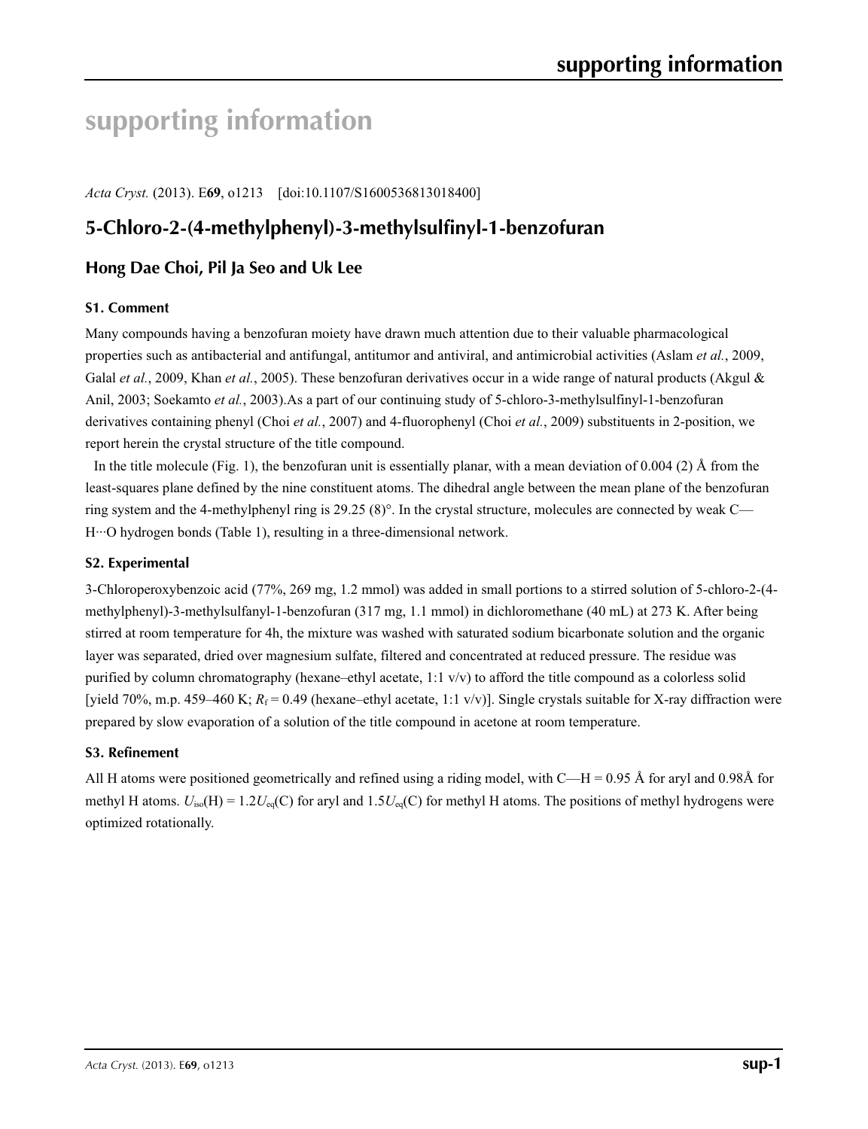# **supporting information**

*Acta Cryst.* (2013). E**69**, o1213 [doi:10.1107/S1600536813018400]

# **5-Chloro-2-(4-methylphenyl)-3-methylsulfinyl-1-benzofuran**

# **Hong Dae Choi, Pil Ja Seo and Uk Lee**

# **S1. Comment**

Many compounds having a benzofuran moiety have drawn much attention due to their valuable pharmacological properties such as antibacterial and antifungal, antitumor and antiviral, and antimicrobial activities (Aslam *et al.*, 2009, Galal *et al.*, 2009, Khan *et al.*, 2005). These benzofuran derivatives occur in a wide range of natural products (Akgul & Anil, 2003; Soekamto *et al.*, 2003).As a part of our continuing study of 5-chloro-3-methylsulfinyl-1-benzofuran derivatives containing phenyl (Choi *et al.*, 2007) and 4-fluorophenyl (Choi *et al.*, 2009) substituents in 2-position, we report herein the crystal structure of the title compound.

In the title molecule (Fig. 1), the benzofuran unit is essentially planar, with a mean deviation of 0.004 (2)  $\AA$  from the least-squares plane defined by the nine constituent atoms. The dihedral angle between the mean plane of the benzofuran ring system and the 4-methylphenyl ring is 29.25 (8)°. In the crystal structure, molecules are connected by weak C— H···O hydrogen bonds (Table 1), resulting in a three-dimensional network.

# **S2. Experimental**

3-Chloroperoxybenzoic acid (77%, 269 mg, 1.2 mmol) was added in small portions to a stirred solution of 5-chloro-2-(4 methylphenyl)-3-methylsulfanyl-1-benzofuran (317 mg, 1.1 mmol) in dichloromethane (40 mL) at 273 K. After being stirred at room temperature for 4h, the mixture was washed with saturated sodium bicarbonate solution and the organic layer was separated, dried over magnesium sulfate, filtered and concentrated at reduced pressure. The residue was purified by column chromatography (hexane–ethyl acetate, 1:1 v/v) to afford the title compound as a colorless solid [yield 70%, m.p. 459–460 K;  $R_f = 0.49$  (hexane–ethyl acetate, 1:1 v/v)]. Single crystals suitable for X-ray diffraction were prepared by slow evaporation of a solution of the title compound in acetone at room temperature.

## **S3. Refinement**

All H atoms were positioned geometrically and refined using a riding model, with C—H = 0.95 Å for aryl and 0.98Å for methyl H atoms.  $U_{iso}(H) = 1.2U_{eq}(C)$  for aryl and  $1.5U_{eq}(C)$  for methyl H atoms. The positions of methyl hydrogens were optimized rotationally.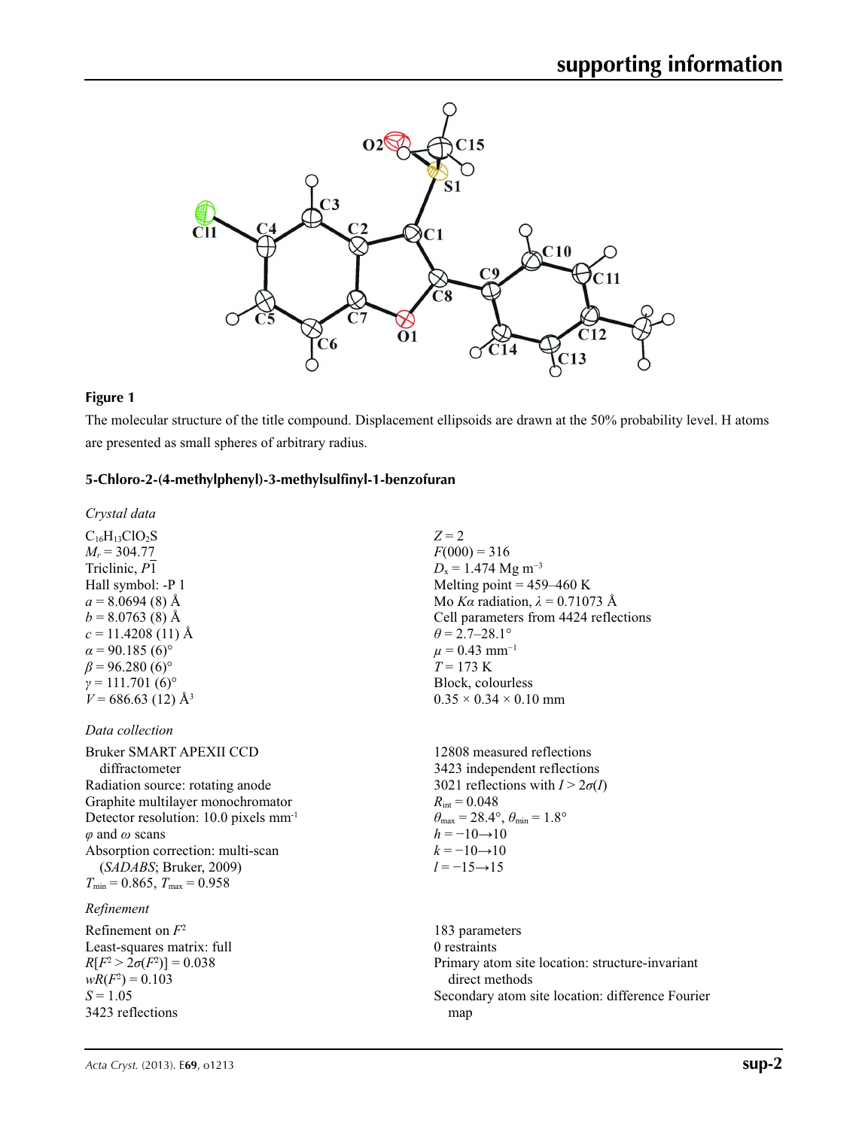

# **Figure 1**

The molecular structure of the title compound. Displacement ellipsoids are drawn at the 50% probability level. H atoms are presented as small spheres of arbitrary radius.

# **5-Chloro-2-(4-methylphenyl)-3-methylsulfinyl-1-benzofuran**

*Crystal data*

 $C_{16}H_{13}ClO_2S$  $M_r = 304.77$ Triclinic, *P*1 Hall symbol: -P 1  $a = 8.0694(8)$  Å  $b = 8.0763(8)$  Å  $c = 11.4208(11)$  Å  $\alpha$  = 90.185 (6)<sup>o</sup>  $\beta$  = 96.280 (6)<sup>o</sup>  $\gamma = 111.701(6)^{\circ}$  $V = 686.63(12)$  Å<sup>3</sup>

*Data collection*

Bruker SMART APEXII CCD diffractometer Radiation source: rotating anode Graphite multilayer monochromator Detector resolution: 10.0 pixels mm-1 *φ* and *ω* scans Absorption correction: multi-scan (*SADABS*; Bruker, 2009)  $T_{\text{min}} = 0.865$ ,  $T_{\text{max}} = 0.958$ 

# *Refinement*

Refinement on *F*<sup>2</sup> Least-squares matrix: full  $R[F^2 > 2\sigma(F^2)] = 0.038$  $wR(F^2) = 0.103$  $S = 1.05$ 3423 reflections

*Z* = 2  $F(000) = 316$  $D_x = 1.474 \text{ Mg m}^{-3}$ Melting point  $= 459 - 460$  K Mo *Kα* radiation,  $\lambda = 0.71073$  Å Cell parameters from 4424 reflections  $\theta$  = 2.7–28.1°  $\mu$  = 0.43 mm<sup>-1</sup>  $T = 173$  K Block, colourless  $0.35 \times 0.34 \times 0.10$  mm

12808 measured reflections 3423 independent reflections 3021 reflections with  $I > 2\sigma(I)$  $R_{\text{int}} = 0.048$  $\theta_{\text{max}} = 28.4^{\circ}, \theta_{\text{min}} = 1.8^{\circ}$  $h = -10 \rightarrow 10$  $k = -10 \rightarrow 10$ *l* = −15→15

183 parameters 0 restraints Primary atom site location: structure-invariant direct methods Secondary atom site location: difference Fourier map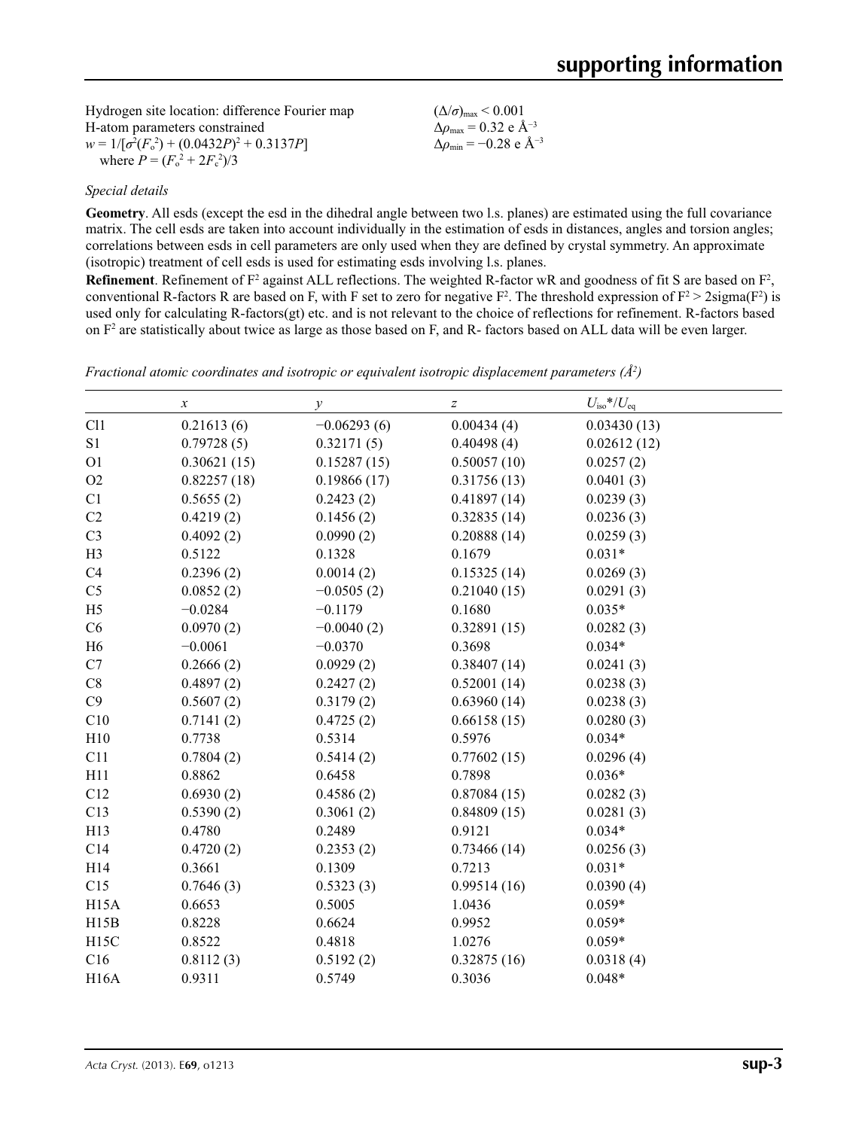| Hydrogen site location: difference Fourier map    | $(\Delta/\sigma)_{\text{max}}$ < 0.001                    |
|---------------------------------------------------|-----------------------------------------------------------|
| H-atom parameters constrained                     | $\Delta\rho_{\rm max}$ = 0.32 e Å <sup>-3</sup>           |
| $w = 1/[\sigma^2(F_0^2) + (0.0432P)^2 + 0.3137P]$ | $\Delta\rho_{\rm min} = -0.28 \text{ e } \text{\AA}^{-3}$ |
| where $P = (F_0^2 + 2F_c^2)/3$                    |                                                           |

## *Special details*

**Geometry**. All esds (except the esd in the dihedral angle between two l.s. planes) are estimated using the full covariance matrix. The cell esds are taken into account individually in the estimation of esds in distances, angles and torsion angles; correlations between esds in cell parameters are only used when they are defined by crystal symmetry. An approximate (isotropic) treatment of cell esds is used for estimating esds involving l.s. planes.

**Refinement**. Refinement of  $F^2$  against ALL reflections. The weighted R-factor wR and goodness of fit S are based on  $F^2$ , conventional R-factors R are based on F, with F set to zero for negative  $F^2$ . The threshold expression of  $F^2 > 2 \text{sigma}(F^2)$  is used only for calculating R-factors(gt) etc. and is not relevant to the choice of reflections for refinement. R-factors based on  $F<sup>2</sup>$  are statistically about twice as large as those based on F, and R- factors based on ALL data will be even larger.

|             |               |             | $U_{\text{iso}}$ */ $U_{\text{eq}}$ |
|-------------|---------------|-------------|-------------------------------------|
| 0.21613(6)  | $-0.06293(6)$ | 0.00434(4)  | 0.03430(13)                         |
| 0.79728(5)  | 0.32171(5)    | 0.40498(4)  | 0.02612(12)                         |
| 0.30621(15) | 0.15287(15)   | 0.50057(10) | 0.0257(2)                           |
| 0.82257(18) | 0.19866(17)   | 0.31756(13) | 0.0401(3)                           |
| 0.5655(2)   | 0.2423(2)     | 0.41897(14) | 0.0239(3)                           |
| 0.4219(2)   | 0.1456(2)     | 0.32835(14) | 0.0236(3)                           |
| 0.4092(2)   | 0.0990(2)     | 0.20888(14) | 0.0259(3)                           |
| 0.5122      | 0.1328        | 0.1679      | $0.031*$                            |
| 0.2396(2)   | 0.0014(2)     | 0.15325(14) | 0.0269(3)                           |
| 0.0852(2)   | $-0.0505(2)$  | 0.21040(15) | 0.0291(3)                           |
| $-0.0284$   | $-0.1179$     | 0.1680      | $0.035*$                            |
| 0.0970(2)   | $-0.0040(2)$  | 0.32891(15) | 0.0282(3)                           |
| $-0.0061$   | $-0.0370$     | 0.3698      | $0.034*$                            |
| 0.2666(2)   | 0.0929(2)     | 0.38407(14) | 0.0241(3)                           |
| 0.4897(2)   | 0.2427(2)     | 0.52001(14) | 0.0238(3)                           |
| 0.5607(2)   | 0.3179(2)     | 0.63960(14) | 0.0238(3)                           |
| 0.7141(2)   | 0.4725(2)     | 0.66158(15) | 0.0280(3)                           |
| 0.7738      | 0.5314        | 0.5976      | $0.034*$                            |
| 0.7804(2)   | 0.5414(2)     | 0.77602(15) | 0.0296(4)                           |
| 0.8862      | 0.6458        | 0.7898      | $0.036*$                            |
| 0.6930(2)   | 0.4586(2)     | 0.87084(15) | 0.0282(3)                           |
| 0.5390(2)   | 0.3061(2)     | 0.84809(15) | 0.0281(3)                           |
| 0.4780      | 0.2489        | 0.9121      | $0.034*$                            |
| 0.4720(2)   | 0.2353(2)     | 0.73466(14) | 0.0256(3)                           |
| 0.3661      | 0.1309        | 0.7213      | $0.031*$                            |
| 0.7646(3)   | 0.5323(3)     | 0.99514(16) | 0.0390(4)                           |
| 0.6653      | 0.5005        | 1.0436      | $0.059*$                            |
| 0.8228      | 0.6624        | 0.9952      | $0.059*$                            |
| 0.8522      | 0.4818        | 1.0276      | $0.059*$                            |
| 0.8112(3)   | 0.5192(2)     | 0.32875(16) | 0.0318(4)                           |
| 0.9311      | 0.5749        | 0.3036      | $0.048*$                            |
|             |               |             |                                     |

*Fractional atomic coordinates and isotropic or equivalent isotropic displacement parameters (Å<sup>2</sup>)*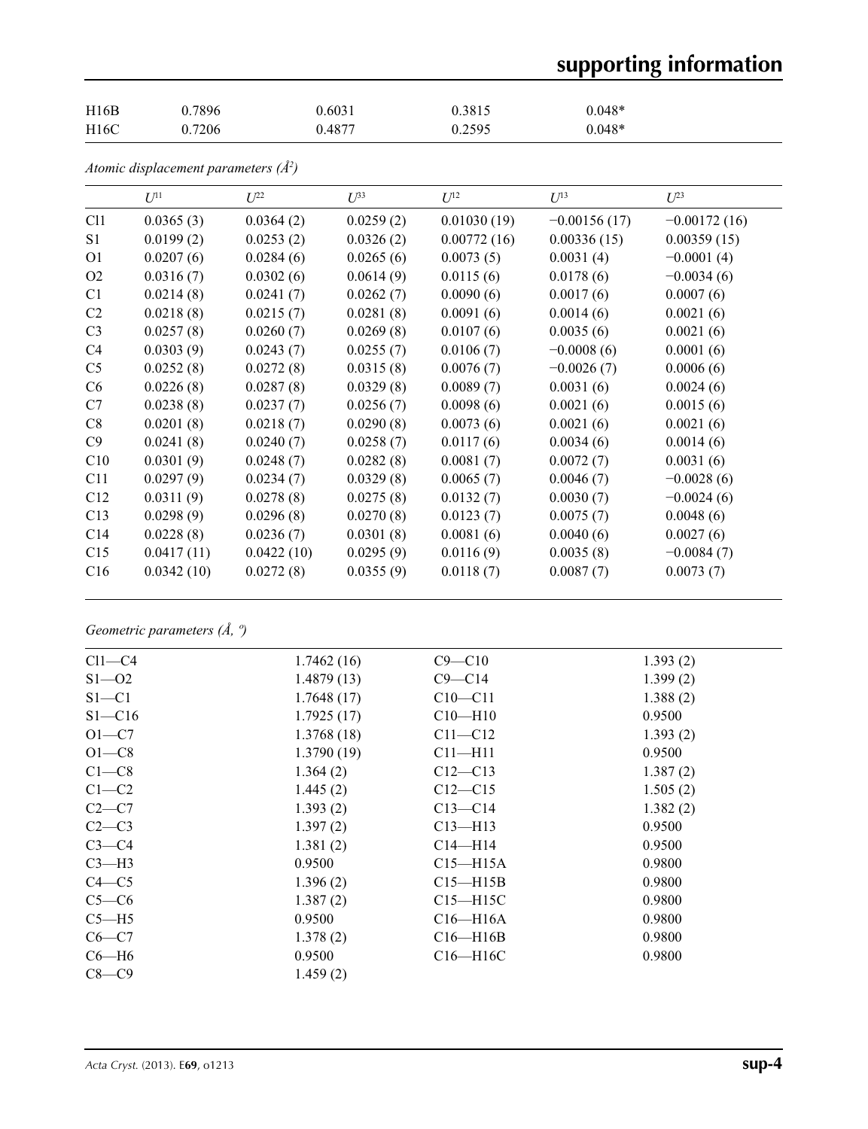# **supporting information**

| H16B | 0.7896 | 0.6031 | 0.3815 | $0.048*$ |
|------|--------|--------|--------|----------|
| H16C | 0.7206 | 0.4877 | 0.2595 | $0.048*$ |

|  | Atomic displacement parameters $(\AA^2)$ |  |  |
|--|------------------------------------------|--|--|
|--|------------------------------------------|--|--|

|                 | $U^{11}$   | $L^{22}$   | $U^{33}$  | $U^{12}$    | $U^{13}$       | $U^{23}$       |
|-----------------|------------|------------|-----------|-------------|----------------|----------------|
| C11             | 0.0365(3)  | 0.0364(2)  | 0.0259(2) | 0.01030(19) | $-0.00156(17)$ | $-0.00172(16)$ |
| S1              | 0.0199(2)  | 0.0253(2)  | 0.0326(2) | 0.00772(16) | 0.00336(15)    | 0.00359(15)    |
| O <sub>1</sub>  | 0.0207(6)  | 0.0284(6)  | 0.0265(6) | 0.0073(5)   | 0.0031(4)      | $-0.0001(4)$   |
| O2              | 0.0316(7)  | 0.0302(6)  | 0.0614(9) | 0.0115(6)   | 0.0178(6)      | $-0.0034(6)$   |
| C <sub>1</sub>  | 0.0214(8)  | 0.0241(7)  | 0.0262(7) | 0.0090(6)   | 0.0017(6)      | 0.0007(6)      |
| C <sub>2</sub>  | 0.0218(8)  | 0.0215(7)  | 0.0281(8) | 0.0091(6)   | 0.0014(6)      | 0.0021(6)      |
| C <sub>3</sub>  | 0.0257(8)  | 0.0260(7)  | 0.0269(8) | 0.0107(6)   | 0.0035(6)      | 0.0021(6)      |
| C4              | 0.0303(9)  | 0.0243(7)  | 0.0255(7) | 0.0106(7)   | $-0.0008(6)$   | 0.0001(6)      |
| C <sub>5</sub>  | 0.0252(8)  | 0.0272(8)  | 0.0315(8) | 0.0076(7)   | $-0.0026(7)$   | 0.0006(6)      |
| C <sub>6</sub>  | 0.0226(8)  | 0.0287(8)  | 0.0329(8) | 0.0089(7)   | 0.0031(6)      | 0.0024(6)      |
| C7              | 0.0238(8)  | 0.0237(7)  | 0.0256(7) | 0.0098(6)   | 0.0021(6)      | 0.0015(6)      |
| C8              | 0.0201(8)  | 0.0218(7)  | 0.0290(8) | 0.0073(6)   | 0.0021(6)      | 0.0021(6)      |
| C9              | 0.0241(8)  | 0.0240(7)  | 0.0258(7) | 0.0117(6)   | 0.0034(6)      | 0.0014(6)      |
| C10             | 0.0301(9)  | 0.0248(7)  | 0.0282(8) | 0.0081(7)   | 0.0072(7)      | 0.0031(6)      |
| C11             | 0.0297(9)  | 0.0234(7)  | 0.0329(8) | 0.0065(7)   | 0.0046(7)      | $-0.0028(6)$   |
| C12             | 0.0311(9)  | 0.0278(8)  | 0.0275(8) | 0.0132(7)   | 0.0030(7)      | $-0.0024(6)$   |
| C13             | 0.0298(9)  | 0.0296(8)  | 0.0270(8) | 0.0123(7)   | 0.0075(7)      | 0.0048(6)      |
| C <sub>14</sub> | 0.0228(8)  | 0.0236(7)  | 0.0301(8) | 0.0081(6)   | 0.0040(6)      | 0.0027(6)      |
| C15             | 0.0417(11) | 0.0422(10) | 0.0295(9) | 0.0116(9)   | 0.0035(8)      | $-0.0084(7)$   |
| C16             | 0.0342(10) | 0.0272(8)  | 0.0355(9) | 0.0118(7)   | 0.0087(7)      | 0.0073(7)      |

*Geometric parameters (Å, º)*

| $Cl1-C4$   | 1.7462(16) | $C9 - C10$   | 1.393(2) |
|------------|------------|--------------|----------|
| $S1 - 02$  | 1.4879(13) | $C9 - C14$   | 1.399(2) |
| $S1 - C1$  | 1.7648(17) | $C10 - C11$  | 1.388(2) |
| $S1 - C16$ | 1.7925(17) | $C10 - H10$  | 0.9500   |
| $O1 - C7$  | 1.3768(18) | $C11 - C12$  | 1.393(2) |
| $O1-C8$    | 1.3790(19) | $C11 - H11$  | 0.9500   |
| $C1-C8$    | 1.364(2)   | $C12-C13$    | 1.387(2) |
| $C1-C2$    | 1.445(2)   | $C12 - C15$  | 1.505(2) |
| $C2-C7$    | 1.393(2)   | $C13 - C14$  | 1.382(2) |
| $C2-C3$    | 1.397(2)   | $C13$ —H13   | 0.9500   |
| $C3-C4$    | 1.381(2)   | $C14$ —H14   | 0.9500   |
| $C3-H3$    | 0.9500     | $C15 - H15A$ | 0.9800   |
| $C4 - C5$  | 1.396(2)   | $C15 - H15B$ | 0.9800   |
| $C5-C6$    | 1.387(2)   | $C15 - H15C$ | 0.9800   |
| $C5 - H5$  | 0.9500     | $C16 - H16A$ | 0.9800   |
| $C6-C7$    | 1.378(2)   | $C16 - H16B$ | 0.9800   |
| $C6-H6$    | 0.9500     | $C16 - H16C$ | 0.9800   |
| $C8-C9$    | 1.459(2)   |              |          |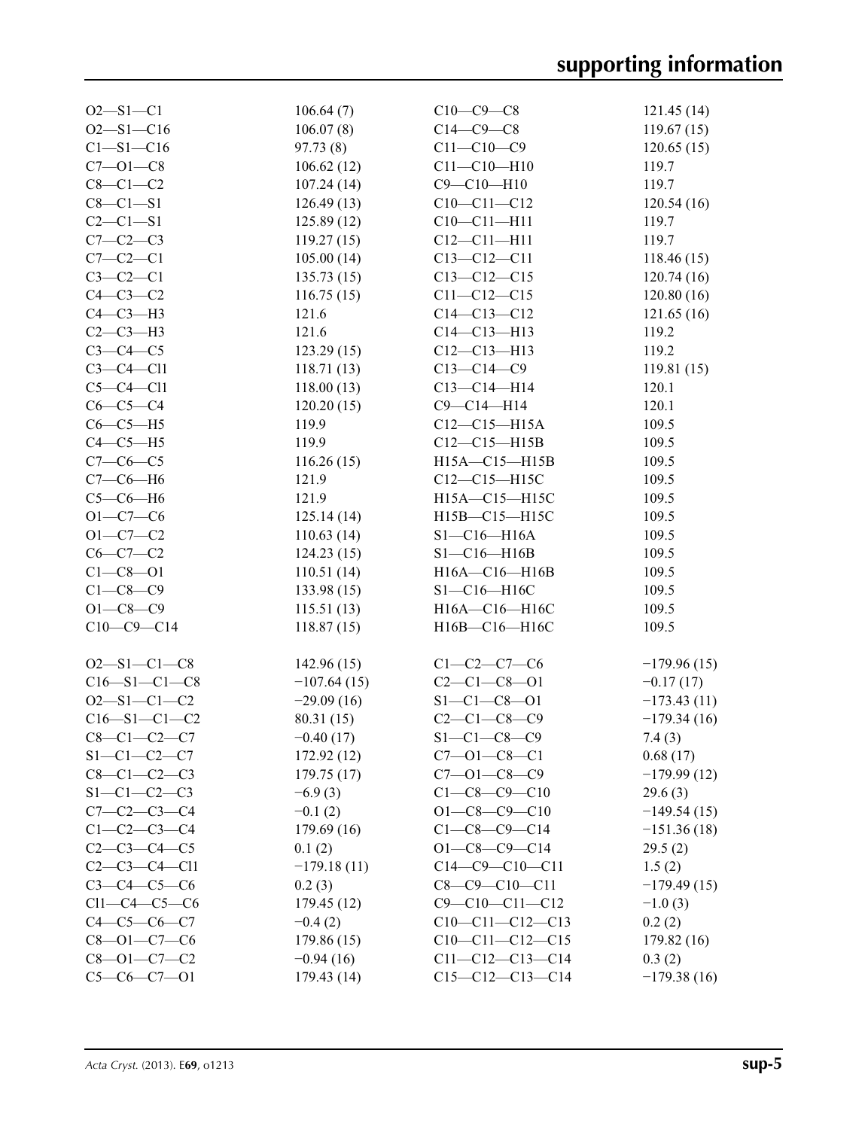| $O2 - S1 - C1$       | 106.64(7)     | $C10-C9-C8$                                | 121.45(14)    |
|----------------------|---------------|--------------------------------------------|---------------|
| $O2 - S1 - C16$      | 106.07(8)     | $C14-C9-C8$                                | 119.67(15)    |
| $C1 - S1 - C16$      | 97.73(8)      | $C11 - C10 - C9$                           | 120.65(15)    |
| $C7 - 01 - C8$       | 106.62(12)    | $C11 - C10 - H10$                          | 119.7         |
| $C8-C1-C2$           | 107.24(14)    | $C9 - C10 - H10$                           | 119.7         |
| $C8-C1-S1$           | 126.49(13)    | $C10-C11-C12$                              | 120.54(16)    |
| $C2 - C1 - S1$       | 125.89(12)    | $C10-C11-H11$                              | 119.7         |
| $C7-C2-C3$           | 119.27(15)    | $C12 - C11 - H11$                          | 119.7         |
| $C7-C2-C1$           | 105.00(14)    | $C13 - C12 - C11$                          | 118.46(15)    |
| $C3-C2-C1$           | 135.73(15)    | $C13 - C12 - C15$                          | 120.74(16)    |
| $C4-C3-C2$           | 116.75(15)    | $C11 - C12 - C15$                          | 120.80(16)    |
| $C4-C3-H3$           | 121.6         | $C14 - C13 - C12$                          | 121.65(16)    |
| $C2-C3-H3$           | 121.6         | $C14 - C13 - H13$                          | 119.2         |
| $C3-C4-C5$           | 123.29(15)    | $C12 - C13 - H13$                          | 119.2         |
| $C3-C4-C11$          | 118.71(13)    | $C13 - C14 - C9$                           | 119.81(15)    |
| $C5-C4-C11$          | 118.00(13)    | $C13-C14-H14$                              | 120.1         |
| $C6-C5-C4$           | 120.20(15)    | $C9 - C14 - H14$                           | 120.1         |
| $C6-C5-H5$           | 119.9         | $C12-C15-H15A$                             | 109.5         |
| $C4-C5-H5$           | 119.9         | $C12-C15-H15B$                             | 109.5         |
| $C7-C6-C5$           | 116.26(15)    | H15A-C15-H15B                              | 109.5         |
| $C7-C6-H6$           | 121.9         | $C12-C15-H15C$                             | 109.5         |
| $C5-C6-H6$           | 121.9         | H15A-C15-H15C                              | 109.5         |
| $O1 - C7 - C6$       |               | H15B-C15-H15C                              | 109.5         |
|                      | 125.14(14)    |                                            |               |
| $O1 - C7 - C2$       | 110.63(14)    | $S1-C16-H16A$                              | 109.5         |
| $C6-C7-C2$           | 124.23(15)    | $S1 - C16 - H16B$                          | 109.5         |
| $C1 - C8 - O1$       | 110.51(14)    | H16A-C16-H16B                              | 109.5         |
| $C1-C8-C9$           | 133.98(15)    | $S1 - C16 - H16C$                          | 109.5         |
| $O1 - C8 - C9$       | 115.51(13)    | H16A-C16-H16C                              | 109.5         |
| $C10-C9-C14$         | 118.87(15)    | H16B-C16-H16C                              | 109.5         |
| $O2 - S1 - C1 - C8$  | 142.96(15)    | $C1 - C2 - C7 - C6$                        | $-179.96(15)$ |
| $C16 - S1 - C1 - C8$ | $-107.64(15)$ | $C2 - C1 - C8 - 01$                        | $-0.17(17)$   |
| $O2 - S1 - C1 - C2$  | $-29.09(16)$  | $S1 - C1 - C8 - 01$                        | $-173.43(11)$ |
| $C16 - S1 - C1 - C2$ | 80.31 (15)    | $C2 - C1 - C8 - C9$                        | $-179.34(16)$ |
| $C8 - C1 - C2 - C7$  | $-0.40(17)$   | $S1 - C1 - C8 - C9$                        | 7.4(3)        |
| $S1-C1-C2-C7$        |               |                                            |               |
| $C8 - C1 - C2 - C3$  | 172.92 (12)   | $C7 - 01 - C8 - C1$<br>$C7 - 01 - C8 - C9$ | 0.68(17)      |
|                      | 179.75(17)    |                                            | $-179.99(12)$ |
| $S1-C1-C2-C3$        | $-6.9(3)$     | $C1 - C8 - C9 - C10$                       | 29.6(3)       |
| $C7 - C2 - C3 - C4$  | $-0.1(2)$     | $O1 - C8 - C9 - C10$                       | $-149.54(15)$ |
| $C1-C2-C3-C4$        | 179.69(16)    | $C1 - C8 - C9 - C14$                       | $-151.36(18)$ |
| $C2 - C3 - C4 - C5$  | 0.1(2)        | $O1 - C8 - C9 - C14$                       | 29.5(2)       |
| $C2-C3-C4-C11$       | $-179.18(11)$ | $C14-C9-C10-C11$                           | 1.5(2)        |
| $C3 - C4 - C5 - C6$  | 0.2(3)        | $C8 - C9 - C10 - C11$                      | $-179.49(15)$ |
| $Cl1-C4-C5-C6$       | 179.45(12)    | $C9 - C10 - C11 - C12$                     | $-1.0(3)$     |
| $C4 - C5 - C6 - C7$  | $-0.4(2)$     | $C10-C11-C12-C13$                          | 0.2(2)        |
| $C8 - 01 - C7 - C6$  | 179.86(15)    | $C10-C11-C12-C15$                          | 179.82(16)    |
| $C8 - 01 - C7 - C2$  | $-0.94(16)$   | $C11-C12-C13-C14$                          | 0.3(2)        |
| $C5-C6-C7-01$        | 179.43 (14)   | $C15-C12-C13-C14$                          | $-179.38(16)$ |